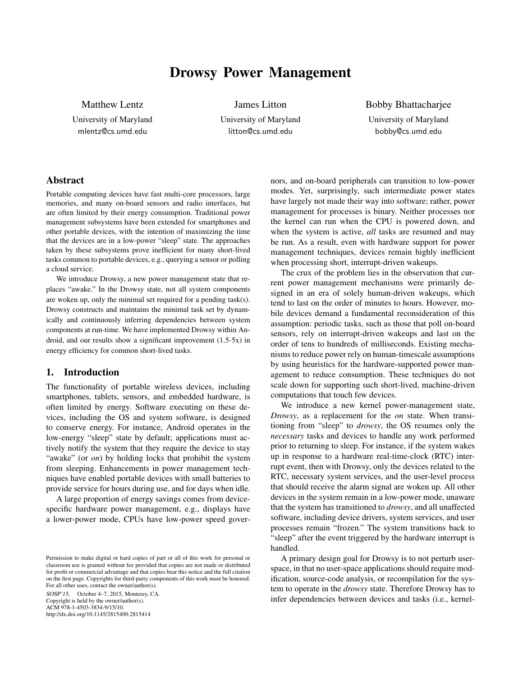# Drowsy Power Management

Matthew Lentz

University of Maryland mlentz@cs.umd.edu

James Litton University of Maryland litton@cs.umd.edu

Bobby Bhattacharjee University of Maryland bobby@cs.umd.edu

# Abstract

Portable computing devices have fast multi-core processors, large memories, and many on-board sensors and radio interfaces, but are often limited by their energy consumption. Traditional power management subsystems have been extended for smartphones and other portable devices, with the intention of maximizing the time that the devices are in a low-power "sleep" state. The approaches taken by these subsystems prove inefficient for many short-lived tasks common to portable devices, e.g., querying a sensor or polling a cloud service.

We introduce Drowsy, a new power management state that replaces "awake." In the Drowsy state, not all system components are woken up, only the minimal set required for a pending task(s). Drowsy constructs and maintains the minimal task set by dynamically and continuously inferring dependencies between system components at run-time. We have implemented Drowsy within Android, and our results show a significant improvement (1.5-5x) in energy efficiency for common short-lived tasks.

# 1. Introduction

The functionality of portable wireless devices, including smartphones, tablets, sensors, and embedded hardware, is often limited by energy. Software executing on these devices, including the OS and system software, is designed to conserve energy. For instance, Android operates in the low-energy "sleep" state by default; applications must actively notify the system that they require the device to stay "awake" (or *on*) by holding locks that prohibit the system from sleeping. Enhancements in power management techniques have enabled portable devices with small batteries to provide service for hours during use, and for days when idle.

A large proportion of energy savings comes from devicespecific hardware power management, e.g., displays have a lower-power mode, CPUs have low-power speed gover-

SOSP'15, October 4–7, 2015, Monterey, CA. Copyright is held by the owner/author(s). ACM 978-1-4503-3834-9/15/10. http://dx.doi.org/10.1145/2815400.2815414

nors, and on-board peripherals can transition to low-power modes. Yet, surprisingly, such intermediate power states have largely not made their way into software; rather, power management for processes is binary. Neither processes nor the kernel can run when the CPU is powered down, and when the system is active, *all* tasks are resumed and may be run. As a result, even with hardware support for power management techniques, devices remain highly inefficient when processing short, interrupt-driven wakeups.

The crux of the problem lies in the observation that current power management mechanisms were primarily designed in an era of solely human-driven wakeups, which tend to last on the order of minutes to hours. However, mobile devices demand a fundamental reconsideration of this assumption: periodic tasks, such as those that poll on-board sensors, rely on interrupt-driven wakeups and last on the order of tens to hundreds of milliseconds. Existing mechanisms to reduce power rely on human-timescale assumptions by using heuristics for the hardware-supported power management to reduce consumption. These techniques do not scale down for supporting such short-lived, machine-driven computations that touch few devices.

We introduce a new kernel power-management state, *Drowsy*, as a replacement for the *on* state. When transitioning from "sleep" to *drowsy*, the OS resumes only the *necessary* tasks and devices to handle any work performed prior to returning to sleep. For instance, if the system wakes up in response to a hardware real-time-clock (RTC) interrupt event, then with Drowsy, only the devices related to the RTC, necessary system services, and the user-level process that should receive the alarm signal are woken up. All other devices in the system remain in a low-power mode, unaware that the system has transitioned to *drowsy*, and all unaffected software, including device drivers, system services, and user processes remain "frozen." The system transitions back to "sleep" after the event triggered by the hardware interrupt is handled.

A primary design goal for Drowsy is to not perturb userspace, in that no user-space applications should require modification, source-code analysis, or recompilation for the system to operate in the *drowsy* state. Therefore Drowsy has to infer dependencies between devices and tasks (i.e., kernel-

Permission to make digital or hard copies of part or all of this work for personal or classroom use is granted without fee provided that copies are not made or distributed for profit or commercial advantage and that copies bear this notice and the full citation on the first page. Copyrights for third-party components of this work must be honored. For all other uses, contact the owner/author(s).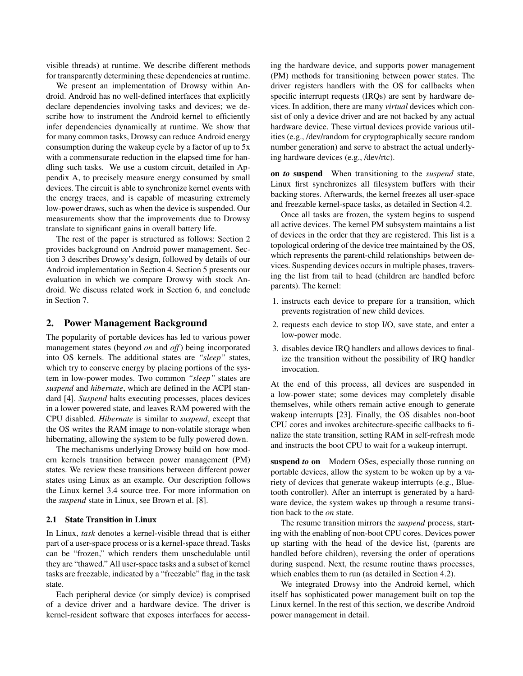visible threads) at runtime. We describe different methods for transparently determining these dependencies at runtime.

We present an implementation of Drowsy within Android. Android has no well-defined interfaces that explicitly declare dependencies involving tasks and devices; we describe how to instrument the Android kernel to efficiently infer dependencies dynamically at runtime. We show that for many common tasks, Drowsy can reduce Android energy consumption during the wakeup cycle by a factor of up to 5x with a commensurate reduction in the elapsed time for handling such tasks. We use a custom circuit, detailed in Appendix A, to precisely measure energy consumed by small devices. The circuit is able to synchronize kernel events with the energy traces, and is capable of measuring extremely low-power draws, such as when the device is suspended. Our measurements show that the improvements due to Drowsy translate to significant gains in overall battery life.

The rest of the paper is structured as follows: Section 2 provides background on Android power management. Section 3 describes Drowsy's design, followed by details of our Android implementation in Section 4. Section 5 presents our evaluation in which we compare Drowsy with stock Android. We discuss related work in Section 6, and conclude in Section 7.

# 2. Power Management Background

The popularity of portable devices has led to various power management states (beyond *on* and *off*) being incorporated into OS kernels. The additional states are *"sleep"* states, which try to conserve energy by placing portions of the system in low-power modes. Two common *"sleep"* states are *suspend* and *hibernate*, which are defined in the ACPI standard [4]. *Suspend* halts executing processes, places devices in a lower powered state, and leaves RAM powered with the CPU disabled. *Hibernate* is similar to *suspend*, except that the OS writes the RAM image to non-volatile storage when hibernating, allowing the system to be fully powered down.

The mechanisms underlying Drowsy build on how modern kernels transition between power management (PM) states. We review these transitions between different power states using Linux as an example. Our description follows the Linux kernel 3.4 source tree. For more information on the *suspend* state in Linux, see Brown et al. [8].

### 2.1 State Transition in Linux

In Linux, *task* denotes a kernel-visible thread that is either part of a user-space process or is a kernel-space thread. Tasks can be "frozen," which renders them unschedulable until they are "thawed." All user-space tasks and a subset of kernel tasks are freezable, indicated by a "freezable" flag in the task state.

Each peripheral device (or simply device) is comprised of a device driver and a hardware device. The driver is kernel-resident software that exposes interfaces for accessing the hardware device, and supports power management (PM) methods for transitioning between power states. The driver registers handlers with the OS for callbacks when specific interrupt requests (IRQs) are sent by hardware devices. In addition, there are many *virtual* devices which consist of only a device driver and are not backed by any actual hardware device. These virtual devices provide various utilities (e.g., /dev/random for cryptographically secure random number generation) and serve to abstract the actual underlying hardware devices (e.g., /dev/rtc).

on *to* suspend When transitioning to the *suspend* state, Linux first synchronizes all filesystem buffers with their backing stores. Afterwards, the kernel freezes all user-space and freezable kernel-space tasks, as detailed in Section 4.2.

Once all tasks are frozen, the system begins to suspend all active devices. The kernel PM subsystem maintains a list of devices in the order that they are registered. This list is a topological ordering of the device tree maintained by the OS, which represents the parent-child relationships between devices. Suspending devices occurs in multiple phases, traversing the list from tail to head (children are handled before parents). The kernel:

- 1. instructs each device to prepare for a transition, which prevents registration of new child devices.
- 2. requests each device to stop I/O, save state, and enter a low-power mode.
- 3. disables device IRQ handlers and allows devices to finalize the transition without the possibility of IRQ handler invocation.

At the end of this process, all devices are suspended in a low-power state; some devices may completely disable themselves, while others remain active enough to generate wakeup interrupts [23]. Finally, the OS disables non-boot CPU cores and invokes architecture-specific callbacks to finalize the state transition, setting RAM in self-refresh mode and instructs the boot CPU to wait for a wakeup interrupt.

suspend *to* on Modern OSes, especially those running on portable devices, allow the system to be woken up by a variety of devices that generate wakeup interrupts (e.g., Bluetooth controller). After an interrupt is generated by a hardware device, the system wakes up through a resume transition back to the *on* state.

The resume transition mirrors the *suspend* process, starting with the enabling of non-boot CPU cores. Devices power up starting with the head of the device list, (parents are handled before children), reversing the order of operations during suspend. Next, the resume routine thaws processes, which enables them to run (as detailed in Section 4.2).

We integrated Drowsy into the Android kernel, which itself has sophisticated power management built on top the Linux kernel. In the rest of this section, we describe Android power management in detail.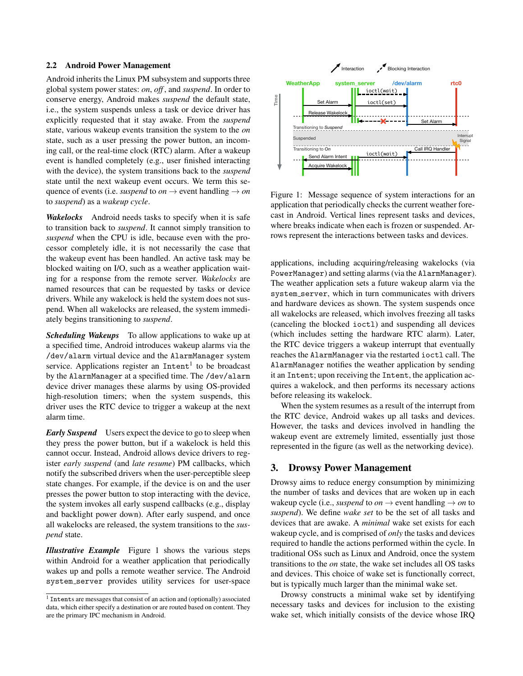### 2.2 Android Power Management

Android inherits the Linux PM subsystem and supports three global system power states: *on*, *off* , and *suspend*. In order to conserve energy, Android makes *suspend* the default state, i.e., the system suspends unless a task or device driver has explicitly requested that it stay awake. From the *suspend* state, various wakeup events transition the system to the *on* state, such as a user pressing the power button, an incoming call, or the real-time clock (RTC) alarm. After a wakeup event is handled completely (e.g., user finished interacting with the device), the system transitions back to the *suspend* state until the next wakeup event occurs. We term this sequence of events (i.e. *suspend* to *on*  $\rightarrow$  event handling  $\rightarrow$  *on* to *suspend*) as a *wakeup cycle*.

*Wakelocks* Android needs tasks to specify when it is safe to transition back to *suspend*. It cannot simply transition to *suspend* when the CPU is idle, because even with the processor completely idle, it is not necessarily the case that the wakeup event has been handled. An active task may be blocked waiting on I/O, such as a weather application waiting for a response from the remote server. *Wakelocks* are named resources that can be requested by tasks or device drivers. While any wakelock is held the system does not suspend. When all wakelocks are released, the system immediately begins transitioning to *suspend*.

*Scheduling Wakeups* To allow applications to wake up at a specified time, Android introduces wakeup alarms via the /dev/alarm virtual device and the AlarmManager system service. Applications register an Intent<sup>1</sup> to be broadcast by the AlarmManager at a specified time. The /dev/alarm device driver manages these alarms by using OS-provided high-resolution timers; when the system suspends, this driver uses the RTC device to trigger a wakeup at the next alarm time.

*Early Suspend* Users expect the device to go to sleep when they press the power button, but if a wakelock is held this cannot occur. Instead, Android allows device drivers to register *early suspend* (and *late resume*) PM callbacks, which notify the subscribed drivers when the user-perceptible sleep state changes. For example, if the device is on and the user presses the power button to stop interacting with the device, the system invokes all early suspend callbacks (e.g., display and backlight power down). After early suspend, and once all wakelocks are released, the system transitions to the *suspend* state.

*Illustrative Example* Figure 1 shows the various steps within Android for a weather application that periodically wakes up and polls a remote weather service. The Android system server provides utility services for user-space



Figure 1: Message sequence of system interactions for an application that periodically checks the current weather forecast in Android. Vertical lines represent tasks and devices, where breaks indicate when each is frozen or suspended. Arrows represent the interactions between tasks and devices.

applications, including acquiring/releasing wakelocks (via PowerManager) and setting alarms (via the AlarmManager). The weather application sets a future wakeup alarm via the system server, which in turn communicates with drivers and hardware devices as shown. The system suspends once all wakelocks are released, which involves freezing all tasks (canceling the blocked ioctl) and suspending all devices (which includes setting the hardware RTC alarm). Later, the RTC device triggers a wakeup interrupt that eventually reaches the AlarmManager via the restarted ioctl call. The AlarmManager notifies the weather application by sending it an Intent; upon receiving the Intent, the application acquires a wakelock, and then performs its necessary actions before releasing its wakelock.

When the system resumes as a result of the interrupt from the RTC device, Android wakes up all tasks and devices. However, the tasks and devices involved in handling the wakeup event are extremely limited, essentially just those represented in the figure (as well as the networking device).

### 3. Drowsy Power Management

Drowsy aims to reduce energy consumption by minimizing the number of tasks and devices that are woken up in each wakeup cycle (i.e., *suspend* to  $\omega$ *n*  $\rightarrow$  event handling  $\rightarrow$   $\omega$ *n* to *suspend*). We define *wake set* to be the set of all tasks and devices that are awake. A *minimal* wake set exists for each wakeup cycle, and is comprised of *only* the tasks and devices required to handle the actions performed within the cycle. In traditional OSs such as Linux and Android, once the system transitions to the *on* state, the wake set includes all OS tasks and devices. This choice of wake set is functionally correct, but is typically much larger than the minimal wake set.

Drowsy constructs a minimal wake set by identifying necessary tasks and devices for inclusion to the existing wake set, which initially consists of the device whose IRQ

<sup>1</sup> Intents are messages that consist of an action and (optionally) associated data, which either specify a destination or are routed based on content. They are the primary IPC mechanism in Android.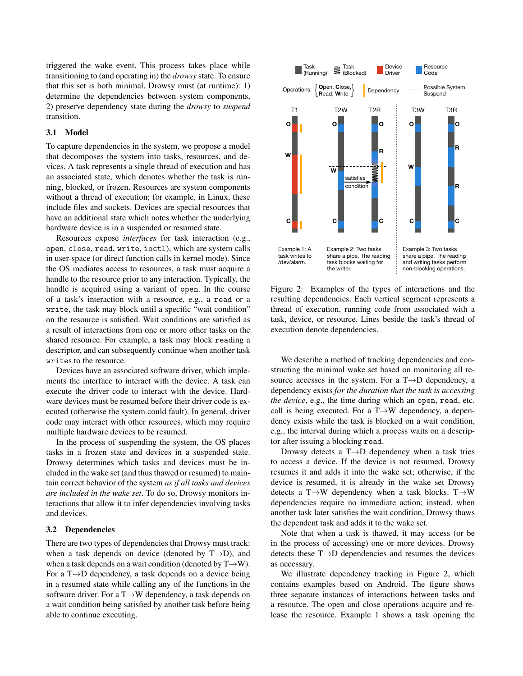triggered the wake event. This process takes place while transitioning to (and operating in) the *drowsy* state. To ensure that this set is both minimal, Drowsy must (at runtime): 1) determine the dependencies between system components, 2) preserve dependency state during the *drowsy* to *suspend* transition.

#### 3.1 Model

To capture dependencies in the system, we propose a model that decomposes the system into tasks, resources, and devices. A task represents a single thread of execution and has an associated state, which denotes whether the task is running, blocked, or frozen. Resources are system components without a thread of execution; for example, in Linux, these include files and sockets. Devices are special resources that have an additional state which notes whether the underlying hardware device is in a suspended or resumed state.

Resources expose *interfaces* for task interaction (e.g., open, close, read, write, ioctl), which are system calls in user-space (or direct function calls in kernel mode). Since the OS mediates access to resources, a task must acquire a handle to the resource prior to any interaction. Typically, the handle is acquired using a variant of open. In the course of a task's interaction with a resource, e.g., a read or a write, the task may block until a specific "wait condition" on the resource is satisfied. Wait conditions are satisfied as a result of interactions from one or more other tasks on the shared resource. For example, a task may block reading a descriptor, and can subsequently continue when another task writes to the resource.

Devices have an associated software driver, which implements the interface to interact with the device. A task can execute the driver code to interact with the device. Hardware devices must be resumed before their driver code is executed (otherwise the system could fault). In general, driver code may interact with other resources, which may require multiple hardware devices to be resumed.

In the process of suspending the system, the OS places tasks in a frozen state and devices in a suspended state. Drowsy determines which tasks and devices must be included in the wake set (and thus thawed or resumed) to maintain correct behavior of the system *as if all tasks and devices are included in the wake set*. To do so, Drowsy monitors interactions that allow it to infer dependencies involving tasks and devices.

### 3.2 Dependencies

There are two types of dependencies that Drowsy must track: when a task depends on device (denoted by  $T\rightarrow D$ ), and when a task depends on a wait condition (denoted by  $T \rightarrow W$ ). For a  $T\rightarrow D$  dependency, a task depends on a device being in a resumed state while calling any of the functions in the software driver. For a T→W dependency, a task depends on a wait condition being satisfied by another task before being able to continue executing.



Figure 2: Examples of the types of interactions and the resulting dependencies. Each vertical segment represents a thread of execution, running code from associated with a task, device, or resource. Lines beside the task's thread of execution denote dependencies.

We describe a method of tracking dependencies and constructing the minimal wake set based on monitoring all resource accesses in the system. For a  $T\rightarrow D$  dependency, a dependency exists *for the duration that the task is accessing the device*, e.g., the time during which an open, read, etc. call is being executed. For a  $T \rightarrow W$  dependency, a dependency exists while the task is blocked on a wait condition, e.g., the interval during which a process waits on a descriptor after issuing a blocking read.

Drowsy detects a  $T \rightarrow D$  dependency when a task tries to access a device. If the device is not resumed, Drowsy resumes it and adds it into the wake set; otherwise, if the device is resumed, it is already in the wake set Drowsy detects a T→W dependency when a task blocks. T→W dependencies require no immediate action; instead, when another task later satisfies the wait condition, Drowsy thaws the dependent task and adds it to the wake set.

Note that when a task is thawed, it may access (or be in the process of accessing) one or more devices. Drowsy detects these T→D dependencies and resumes the devices as necessary.

We illustrate dependency tracking in Figure 2, which contains examples based on Android. The figure shows three separate instances of interactions between tasks and a resource. The open and close operations acquire and release the resource. Example 1 shows a task opening the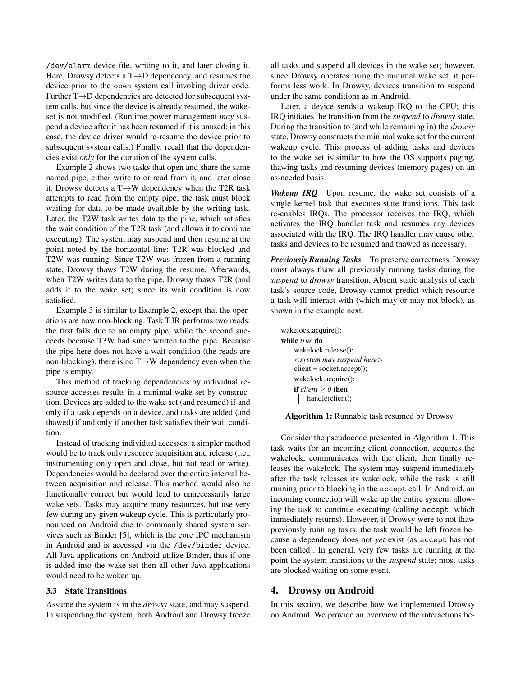/dev/alarm device file, writing to it, and later closing it. Here, Drowsy detects a T→D dependency, and resumes the device prior to the open system call invoking driver code. Further T→D dependencies are detected for subsequent system calls, but since the device is already resumed, the wakeset is not modified. (Runtime power management *may* suspend a device after it has been resumed if it is unused; in this case, the device driver would re-resume the device prior to subsequent system calls.) Finally, recall that the dependencies exist *only* for the duration of the system calls.

Example 2 shows two tasks that open and share the same named pipe, either write to or read from it, and later close it. Drowsy detects a T→W dependency when the T2R task attempts to read from the empty pipe; the task must block waiting for data to be made available by the writing task. Later, the T2W task writes data to the pipe, which satisfies the wait condition of the T2R task (and allows it to continue executing). The system may suspend and then resume at the point noted by the horizontal line: T2R was blocked and T2W was running. Since T2W was frozen from a running state, Drowsy thaws T2W during the resume. Afterwards, when T2W writes data to the pipe, Drowsy thaws T2R (and adds it to the wake set) since its wait condition is now satisfied.

Example 3 is similar to Example 2, except that the operations are now non-blocking. Task T3R performs two reads: the first fails due to an empty pipe, while the second succeeds because T3W had since written to the pipe. Because the pipe here does not have a wait condition (the reads are non-blocking), there is no T→W dependency even when the pipe is empty.

This method of tracking dependencies by individual resource accesses results in a minimal wake set by construction. Devices are added to the wake set (and resumed) if and only if a task depends on a device, and tasks are added (and thawed) if and only if another task satisfies their wait condition.

Instead of tracking individual accesses, a simpler method would be to track only resource acquisition and release (i.e., instrumenting only open and close, but not read or write). Dependencies would be declared over the entire interval between acquisition and release. This method would also be functionally correct but would lead to unnecessarily large wake sets. Tasks may acquire many resources, but use very few during any given wakeup cycle. This is particularly pronounced on Android due to commonly shared system services such as Binder [5], which is the core IPC mechanism in Android and is accessed via the /dev/binder device. All Java applications on Android utilize Binder, thus if one is added into the wake set then all other Java applications would need to be woken up.

# 3.3 State Transitions

Assume the system is in the *drowsy* state, and may suspend. In suspending the system, both Android and Drowsy freeze

all tasks and suspend all devices in the wake set; however, since Drowsy operates using the minimal wake set, it performs less work. In Drowsy, devices transition to suspend under the same conditions as in Android.

Later, a device sends a wakeup IRQ to the CPU; this IRQ initiates the transition from the *suspend* to *drowsy* state. During the transition to (and while remaining in) the *drowsy* state, Drowsy constructs the minimal wake set for the current wakeup cycle. This process of adding tasks and devices to the wake set is similar to how the OS supports paging, thawing tasks and resuming devices (memory pages) on an as-needed basis.

*Wakeup IRQ* Upon resume, the wake set consists of a single kernel task that executes state transitions. This task re-enables IRQs. The processor receives the IRQ, which activates the IRQ handler task and resumes any devices associated with the IRQ. The IRQ handler may cause other tasks and devices to be resumed and thawed as necessary.

*Previously Running Tasks* To preserve correctness, Drowsy must always thaw all previously running tasks during the *suspend* to *drowsy* transition. Absent static analysis of each task's source code, Drowsy cannot predict which resource a task will interact with (which may or may not block), as shown in the example next.

```
wakelock.acquire();
while true do
    wakelock.release();
    <system may suspend here>
    client = socket.accept();
    wakelock.acquire();
    if client \geq 0 then
        handle(client);
```
Algorithm 1: Runnable task resumed by Drowsy.

Consider the pseudocode presented in Algorithm 1. This task waits for an incoming client connection, acquires the wakelock, communicates with the client, then finally releases the wakelock. The system may suspend immediately after the task releases its wakelock, while the task is still running prior to blocking in the accept call. In Android, an incoming connection will wake up the entire system, allowing the task to continue executing (calling accept, which immediately returns). However, if Drowsy were to not thaw previously running tasks, the task would be left frozen because a dependency does not *yet* exist (as accept has not been called). In general, very few tasks are running at the point the system transitions to the *suspend* state; most tasks are blocked waiting on some event.

# 4. Drowsy on Android

In this section, we describe how we implemented Drowsy on Android. We provide an overview of the interactions be-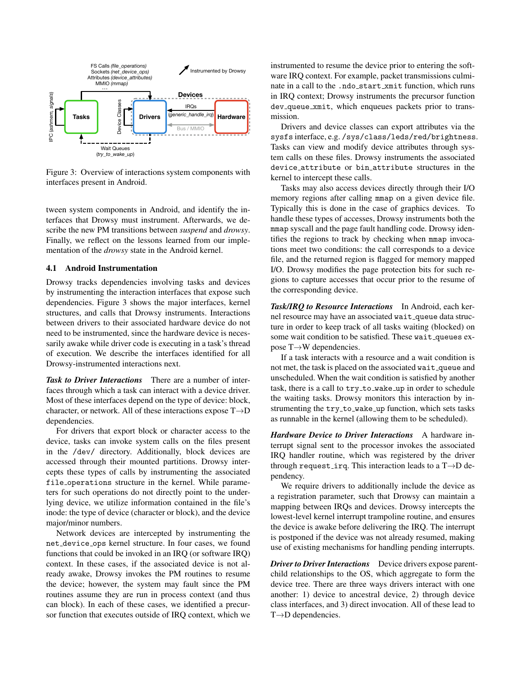

Figure 3: Overview of interactions system components with interfaces present in Android.

tween system components in Android, and identify the interfaces that Drowsy must instrument. Afterwards, we describe the new PM transitions between *suspend* and *drowsy*. Finally, we reflect on the lessons learned from our implementation of the *drowsy* state in the Android kernel.

### 4.1 Android Instrumentation

Drowsy tracks dependencies involving tasks and devices by instrumenting the interaction interfaces that expose such dependencies. Figure 3 shows the major interfaces, kernel structures, and calls that Drowsy instruments. Interactions between drivers to their associated hardware device do not need to be instrumented, since the hardware device is necessarily awake while driver code is executing in a task's thread of execution. We describe the interfaces identified for all Drowsy-instrumented interactions next.

*Task to Driver Interactions* There are a number of interfaces through which a task can interact with a device driver. Most of these interfaces depend on the type of device: block, character, or network. All of these interactions expose T→D dependencies.

For drivers that export block or character access to the device, tasks can invoke system calls on the files present in the /dev/ directory. Additionally, block devices are accessed through their mounted partitions. Drowsy intercepts these types of calls by instrumenting the associated file operations structure in the kernel. While parameters for such operations do not directly point to the underlying device, we utilize information contained in the file's inode: the type of device (character or block), and the device major/minor numbers.

Network devices are intercepted by instrumenting the net device ops kernel structure. In four cases, we found functions that could be invoked in an IRQ (or software IRQ) context. In these cases, if the associated device is not already awake, Drowsy invokes the PM routines to resume the device; however, the system may fault since the PM routines assume they are run in process context (and thus can block). In each of these cases, we identified a precursor function that executes outside of IRQ context, which we instrumented to resume the device prior to entering the software IRQ context. For example, packet transmissions culminate in a call to the .ndo start xmit function, which runs in IRQ context; Drowsy instruments the precursor function dev queue xmit, which enqueues packets prior to transmission.

Drivers and device classes can export attributes via the sysfs interface, e.g. /sys/class/leds/red/brightness. Tasks can view and modify device attributes through system calls on these files. Drowsy instruments the associated device attribute or bin attribute structures in the kernel to intercept these calls.

Tasks may also access devices directly through their I/O memory regions after calling mmap on a given device file. Typically this is done in the case of graphics devices. To handle these types of accesses, Drowsy instruments both the mmap syscall and the page fault handling code. Drowsy identifies the regions to track by checking when mmap invocations meet two conditions: the call corresponds to a device file, and the returned region is flagged for memory mapped I/O. Drowsy modifies the page protection bits for such regions to capture accesses that occur prior to the resume of the corresponding device.

*Task/IRQ to Resource Interactions* In Android, each kernel resource may have an associated wait\_queue data structure in order to keep track of all tasks waiting (blocked) on some wait condition to be satisfied. These wait\_queues expose T→W dependencies.

If a task interacts with a resource and a wait condition is not met, the task is placed on the associated wait\_queue and unscheduled. When the wait condition is satisfied by another task, there is a call to try\_to\_wake\_up in order to schedule the waiting tasks. Drowsy monitors this interaction by instrumenting the try\_to\_wake\_up function, which sets tasks as runnable in the kernel (allowing them to be scheduled).

*Hardware Device to Driver Interactions* A hardware interrupt signal sent to the processor invokes the associated IRQ handler routine, which was registered by the driver through request irq. This interaction leads to a  $T\rightarrow D$  dependency.

We require drivers to additionally include the device as a registration parameter, such that Drowsy can maintain a mapping between IRQs and devices. Drowsy intercepts the lowest-level kernel interrupt trampoline routine, and ensures the device is awake before delivering the IRQ. The interrupt is postponed if the device was not already resumed, making use of existing mechanisms for handling pending interrupts.

*Driver to Driver Interactions* Device drivers expose parentchild relationships to the OS, which aggregate to form the device tree. There are three ways drivers interact with one another: 1) device to ancestral device, 2) through device class interfaces, and 3) direct invocation. All of these lead to  $T\rightarrow D$  dependencies.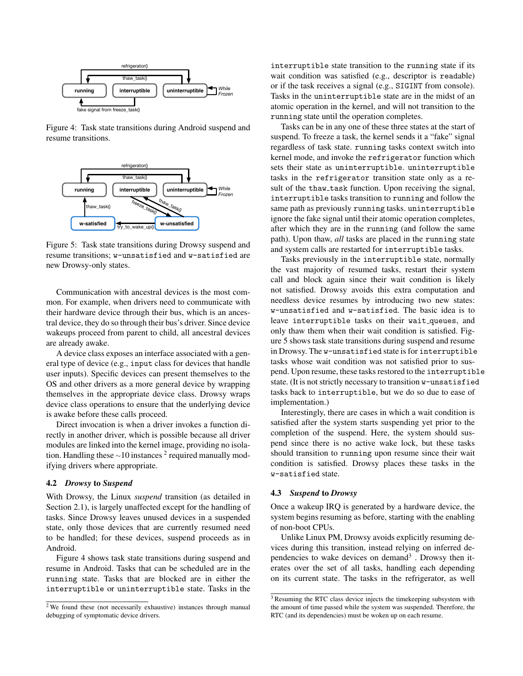

Figure 4: Task state transitions during Android suspend and resume transitions.



Figure 5: Task state transitions during Drowsy suspend and resume transitions; w-unsatisfied and w-satisfied are new Drowsy-only states.

Communication with ancestral devices is the most common. For example, when drivers need to communicate with their hardware device through their bus, which is an ancestral device, they do so through their bus's driver. Since device wakeups proceed from parent to child, all ancestral devices are already awake.

A device class exposes an interface associated with a general type of device (e.g., input class for devices that handle user inputs). Specific devices can present themselves to the OS and other drivers as a more general device by wrapping themselves in the appropriate device class. Drowsy wraps device class operations to ensure that the underlying device is awake before these calls proceed.

Direct invocation is when a driver invokes a function directly in another driver, which is possible because all driver modules are linked into the kernel image, providing no isolation. Handling these  $\sim$ 10 instances <sup>2</sup> required manually modifying drivers where appropriate.

### 4.2 *Drowsy* to *Suspend*

With Drowsy, the Linux *suspend* transition (as detailed in Section 2.1), is largely unaffected except for the handling of tasks. Since Drowsy leaves unused devices in a suspended state, only those devices that are currently resumed need to be handled; for these devices, suspend proceeds as in Android.

Figure 4 shows task state transitions during suspend and resume in Android. Tasks that can be scheduled are in the running state. Tasks that are blocked are in either the interruptible or uninterruptible state. Tasks in the

interruptible state transition to the running state if its wait condition was satisfied (e.g., descriptor is readable) or if the task receives a signal (e.g., SIGINT from console). Tasks in the uninterruptible state are in the midst of an atomic operation in the kernel, and will not transition to the running state until the operation completes.

Tasks can be in any one of these three states at the start of suspend. To freeze a task, the kernel sends it a "fake" signal regardless of task state. running tasks context switch into kernel mode, and invoke the refrigerator function which sets their state as uninterruptible. uninterruptible tasks in the refrigerator transition state only as a result of the thaw\_task function. Upon receiving the signal, interruptible tasks transition to running and follow the same path as previously running tasks. uninterruptible ignore the fake signal until their atomic operation completes, after which they are in the running (and follow the same path). Upon thaw, *all* tasks are placed in the running state and system calls are restarted for interruptible tasks.

Tasks previously in the interruptible state, normally the vast majority of resumed tasks, restart their system call and block again since their wait condition is likely not satisfied. Drowsy avoids this extra computation and needless device resumes by introducing two new states: w-unsatisfied and w-satisfied. The basic idea is to leave interruptible tasks on their wait\_queues, and only thaw them when their wait condition is satisfied. Figure 5 shows task state transitions during suspend and resume in Drowsy. The w-unsatisfied state is for interruptible tasks whose wait condition was not satisfied prior to suspend. Upon resume, these tasks restored to the interruptible state. (It is not strictly necessary to transition w-unsatisfied tasks back to interruptible, but we do so due to ease of implementation.)

Interestingly, there are cases in which a wait condition is satisfied after the system starts suspending yet prior to the completion of the suspend. Here, the system should suspend since there is no active wake lock, but these tasks should transition to running upon resume since their wait condition is satisfied. Drowsy places these tasks in the w-satisfied state.

### 4.3 *Suspend* to *Drowsy*

Once a wakeup IRQ is generated by a hardware device, the system begins resuming as before, starting with the enabling of non-boot CPUs.

Unlike Linux PM, Drowsy avoids explicitly resuming devices during this transition, instead relying on inferred dependencies to wake devices on demand<sup>3</sup>. Drowsy then iterates over the set of all tasks, handling each depending on its current state. The tasks in the refrigerator, as well

 $2\overline{V}$  found these (not necessarily exhaustive) instances through manual debugging of symptomatic device drivers.

<sup>&</sup>lt;sup>3</sup> Resuming the RTC class device injects the timekeeping subsystem with the amount of time passed while the system was suspended. Therefore, the RTC (and its dependencies) must be woken up on each resume.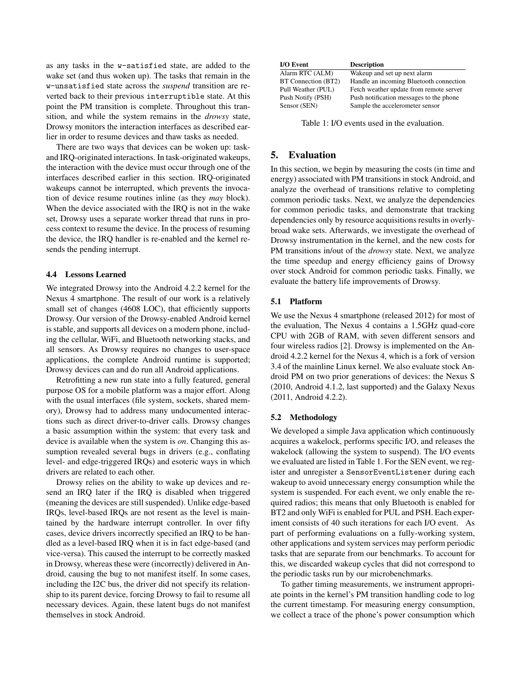as any tasks in the w-satisfied state, are added to the wake set (and thus woken up). The tasks that remain in the w-unsatisfied state across the *suspend* transition are reverted back to their previous interruptible state. At this point the PM transition is complete. Throughout this transition, and while the system remains in the *drowsy* state, Drowsy monitors the interaction interfaces as described earlier in order to resume devices and thaw tasks as needed.

There are two ways that devices can be woken up: taskand IRQ-originated interactions. In task-originated wakeups, the interaction with the device must occur through one of the interfaces described earlier in this section. IRQ-originated wakeups cannot be interrupted, which prevents the invocation of device resume routines inline (as they *may* block). When the device associated with the IRQ is not in the wake set, Drowsy uses a separate worker thread that runs in process context to resume the device. In the process of resuming the device, the IRQ handler is re-enabled and the kernel resends the pending interrupt.

### 4.4 Lessons Learned

We integrated Drowsy into the Android 4.2.2 kernel for the Nexus 4 smartphone. The result of our work is a relatively small set of changes (4608 LOC), that efficiently supports Drowsy. Our version of the Drowsy-enabled Android kernel is stable, and supports all devices on a modern phone, including the cellular, WiFi, and Bluetooth networking stacks, and all sensors. As Drowsy requires no changes to user-space applications, the complete Android runtime is supported; Drowsy devices can and do run all Android applications.

Retrofitting a new run state into a fully featured, general purpose OS for a mobile platform was a major effort. Along with the usual interfaces (file system, sockets, shared memory), Drowsy had to address many undocumented interactions such as direct driver-to-driver calls. Drowsy changes a basic assumption within the system: that every task and device is available when the system is *on*. Changing this assumption revealed several bugs in drivers (e.g., conflating level- and edge-triggered IRQs) and esoteric ways in which drivers are related to each other.

Drowsy relies on the ability to wake up devices and resend an IRQ later if the IRQ is disabled when triggered (meaning the devices are still suspended). Unlike edge-based IRQs, level-based IRQs are not resent as the level is maintained by the hardware interrupt controller. In over fifty cases, device drivers incorrectly specified an IRQ to be handled as a level-based IRQ when it is in fact edge-based (and vice-versa). This caused the interrupt to be correctly masked in Drowsy, whereas these were (incorrectly) delivered in Android, causing the bug to not manifest itself. In some cases, including the I2C bus, the driver did not specify its relationship to its parent device, forcing Drowsy to fail to resume all necessary devices. Again, these latent bugs do not manifest themselves in stock Android.

| <b>I/O</b> Event    | <b>Description</b>                      |
|---------------------|-----------------------------------------|
| Alarm RTC (ALM)     | Wakeup and set up next alarm            |
| BT Connection (BT2) | Handle an incoming Bluetooth connection |
| Pull Weather (PUL)  | Fetch weather update from remote server |
| Push Notify (PSH)   | Push notification messages to the phone |
| Sensor (SEN)        | Sample the accelerometer sensor         |
|                     |                                         |

Table 1: I/O events used in the evaluation.

# 5. Evaluation

In this section, we begin by measuring the costs (in time and energy) associated with PM transitions in stock Android, and analyze the overhead of transitions relative to completing common periodic tasks. Next, we analyze the dependencies for common periodic tasks, and demonstrate that tracking dependencies only by resource acquisitions results in overlybroad wake sets. Afterwards, we investigate the overhead of Drowsy instrumentation in the kernel, and the new costs for PM transitions in/out of the *drowsy* state. Next, we analyze the time speedup and energy efficiency gains of Drowsy over stock Android for common periodic tasks. Finally, we evaluate the battery life improvements of Drowsy.

### 5.1 Platform

We use the Nexus 4 smartphone (released 2012) for most of the evaluation, The Nexus 4 contains a 1.5GHz quad-core CPU with 2GB of RAM, with seven different sensors and four wireless radios [2]. Drowsy is implemented on the Android 4.2.2 kernel for the Nexus 4, which is a fork of version 3.4 of the mainline Linux kernel. We also evaluate stock Android PM on two prior generations of devices: the Nexus S (2010, Android 4.1.2, last supported) and the Galaxy Nexus (2011, Android 4.2.2).

### 5.2 Methodology

We developed a simple Java application which continuously acquires a wakelock, performs specific I/O, and releases the wakelock (allowing the system to suspend). The I/O events we evaluated are listed in Table 1. For the SEN event, we register and unregister a SensorEventListener during each wakeup to avoid unnecessary energy consumption while the system is suspended. For each event, we only enable the required radios; this means that only Bluetooth is enabled for BT2 and only WiFi is enabled for PUL and PSH. Each experiment consists of 40 such iterations for each I/O event. As part of performing evaluations on a fully-working system, other applications and system services may perform periodic tasks that are separate from our benchmarks. To account for this, we discarded wakeup cycles that did not correspond to the periodic tasks run by our microbenchmarks.

To gather timing measurements, we instrument appropriate points in the kernel's PM transition handling code to log the current timestamp. For measuring energy consumption, we collect a trace of the phone's power consumption which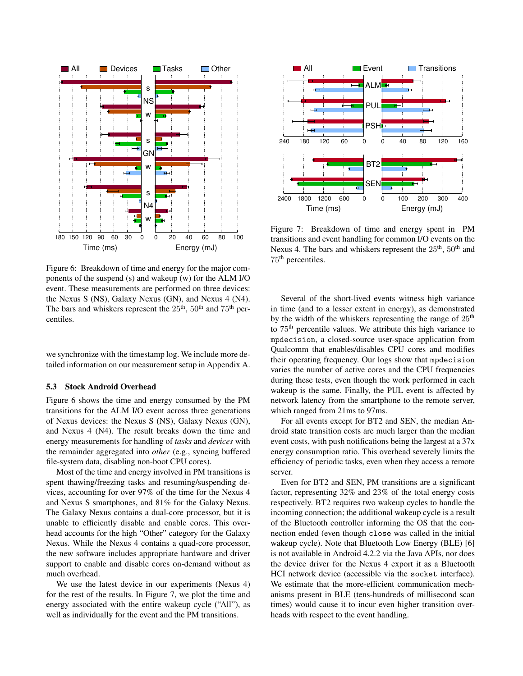



Figure 7: Breakdown of time and energy spent in PM transitions and event handling for common I/O events on the Nexus 4. The bars and whiskers represent the  $25<sup>th</sup>$ ,  $50<sup>th</sup>$  and 75th percentiles.

Figure 6: Breakdown of time and energy for the major components of the suspend (s) and wakeup (w) for the ALM I/O event. These measurements are performed on three devices: the Nexus S (NS), Galaxy Nexus (GN), and Nexus 4 (N4). The bars and whiskers represent the  $25<sup>th</sup>$ ,  $50<sup>th</sup>$  and  $75<sup>th</sup>$  percentiles.

we synchronize with the timestamp log. We include more detailed information on our measurement setup in Appendix A.

#### 5.3 Stock Android Overhead

Figure 6 shows the time and energy consumed by the PM transitions for the ALM I/O event across three generations of Nexus devices: the Nexus S (NS), Galaxy Nexus (GN), and Nexus 4 (N4). The result breaks down the time and energy measurements for handling of *tasks* and *devices* with the remainder aggregated into *other* (e.g., syncing buffered file-system data, disabling non-boot CPU cores).

Most of the time and energy involved in PM transitions is spent thawing/freezing tasks and resuming/suspending devices, accounting for over 97% of the time for the Nexus 4 and Nexus S smartphones, and 81% for the Galaxy Nexus. The Galaxy Nexus contains a dual-core processor, but it is unable to efficiently disable and enable cores. This overhead accounts for the high "Other" category for the Galaxy Nexus. While the Nexus 4 contains a quad-core processor, the new software includes appropriate hardware and driver support to enable and disable cores on-demand without as much overhead.

We use the latest device in our experiments (Nexus 4) for the rest of the results. In Figure 7, we plot the time and energy associated with the entire wakeup cycle ("All"), as well as individually for the event and the PM transitions.

Several of the short-lived events witness high variance in time (and to a lesser extent in energy), as demonstrated by the width of the whiskers representing the range of  $25<sup>th</sup>$ to 75<sup>th</sup> percentile values. We attribute this high variance to mpdecision, a closed-source user-space application from Qualcomm that enables/disables CPU cores and modifies their operating frequency. Our logs show that mpdecision varies the number of active cores and the CPU frequencies during these tests, even though the work performed in each wakeup is the same. Finally, the PUL event is affected by network latency from the smartphone to the remote server, which ranged from 21ms to 97ms.

For all events except for BT2 and SEN, the median Android state transition costs are much larger than the median event costs, with push notifications being the largest at a 37x energy consumption ratio. This overhead severely limits the efficiency of periodic tasks, even when they access a remote server.

Even for BT2 and SEN, PM transitions are a significant factor, representing 32% and 23% of the total energy costs respectively. BT2 requires two wakeup cycles to handle the incoming connection; the additional wakeup cycle is a result of the Bluetooth controller informing the OS that the connection ended (even though close was called in the initial wakeup cycle). Note that Bluetooth Low Energy (BLE) [6] is not available in Android 4.2.2 via the Java APIs, nor does the device driver for the Nexus 4 export it as a Bluetooth HCI network device (accessible via the socket interface). We estimate that the more-efficient communication mechanisms present in BLE (tens-hundreds of millisecond scan times) would cause it to incur even higher transition overheads with respect to the event handling.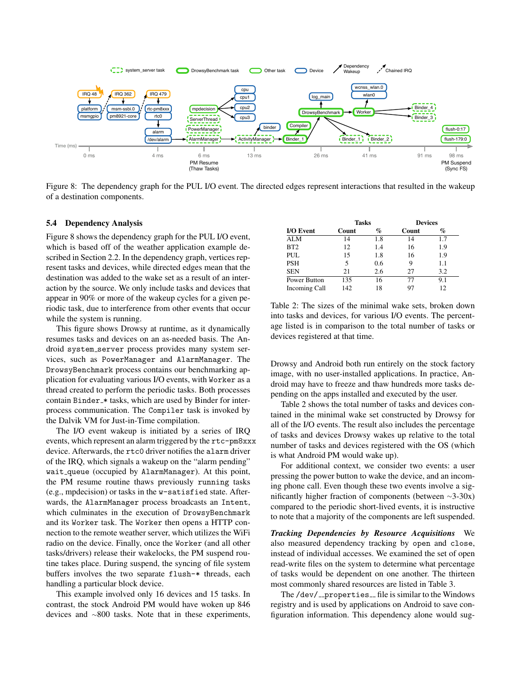

Figure 8: The dependency graph for the PUL I/O event. The directed edges represent interactions that resulted in the wakeup of a destination components.

#### 5.4 Dependency Analysis

Figure 8 shows the dependency graph for the PUL I/O event, which is based off of the weather application example described in Section 2.2. In the dependency graph, vertices represent tasks and devices, while directed edges mean that the destination was added to the wake set as a result of an interaction by the source. We only include tasks and devices that appear in 90% or more of the wakeup cycles for a given periodic task, due to interference from other events that occur while the system is running.

This figure shows Drowsy at runtime, as it dynamically resumes tasks and devices on an as-needed basis. The Android system server process provides many system services, such as PowerManager and AlarmManager. The DrowsyBenchmark process contains our benchmarking application for evaluating various I/O events, with Worker as a thread created to perform the periodic tasks. Both processes contain Binder \* tasks, which are used by Binder for interprocess communication. The Compiler task is invoked by the Dalvik VM for Just-in-Time compilation.

The I/O event wakeup is initiated by a series of IRQ events, which represent an alarm triggered by the rtc-pm8xxx device. Afterwards, the rtc0 driver notifies the alarm driver of the IRQ, which signals a wakeup on the "alarm pending" wait queue (occupied by AlarmManager). At this point, the PM resume routine thaws previously running tasks (e.g., mpdecision) or tasks in the w-satisfied state. Afterwards, the AlarmManager process broadcasts an Intent, which culminates in the execution of DrowsyBenchmark and its Worker task. The Worker then opens a HTTP connection to the remote weather server, which utilizes the WiFi radio on the device. Finally, once the Worker (and all other tasks/drivers) release their wakelocks, the PM suspend routine takes place. During suspend, the syncing of file system buffers involves the two separate flush-\* threads, each handling a particular block device.

This example involved only 16 devices and 15 tasks. In contrast, the stock Android PM would have woken up 846 devices and <sup>∼</sup>800 tasks. Note that in these experiments,

|                  | <b>Tasks</b> |      | <b>Devices</b> |      |
|------------------|--------------|------|----------------|------|
| <b>I/O</b> Event | Count        | $\%$ | Count          | $\%$ |
| <b>ALM</b>       | 14           | 1.8  | 14             | 1.7  |
| BT2              | 12           | 1.4  | 16             | 1.9  |
| PUL              | 15           | 1.8  | 16             | 1.9  |
| <b>PSH</b>       | 5            | 0.6  | 9              | 1.1  |
| <b>SEN</b>       | 21           | 2.6  | 27             | 3.2  |
| Power Button     | 135          | 16   | 77             | 9.1  |
| Incoming Call    | 142          | 18   | 97             | 12.  |

Table 2: The sizes of the minimal wake sets, broken down into tasks and devices, for various I/O events. The percentage listed is in comparison to the total number of tasks or devices registered at that time.

Drowsy and Android both run entirely on the stock factory image, with no user-installed applications. In practice, Android may have to freeze and thaw hundreds more tasks depending on the apps installed and executed by the user.

Table 2 shows the total number of tasks and devices contained in the minimal wake set constructed by Drowsy for all of the I/O events. The result also includes the percentage of tasks and devices Drowsy wakes up relative to the total number of tasks and devices registered with the OS (which is what Android PM would wake up).

For additional context, we consider two events: a user pressing the power button to wake the device, and an incoming phone call. Even though these two events involve a significantly higher fraction of components (between <sup>∼</sup>3-30x) compared to the periodic short-lived events, it is instructive to note that a majority of the components are left suspended.

*Tracking Dependencies by Resource Acquisitions* We also measured dependency tracking by open and close, instead of individual accesses. We examined the set of open read-write files on the system to determine what percentage of tasks would be dependent on one another. The thirteen most commonly shared resources are listed in Table 3.

The  $/$ dev $/$ <sub>--</sub>properties<sub>--</sub> file is similar to the Windows registry and is used by applications on Android to save configuration information. This dependency alone would sug-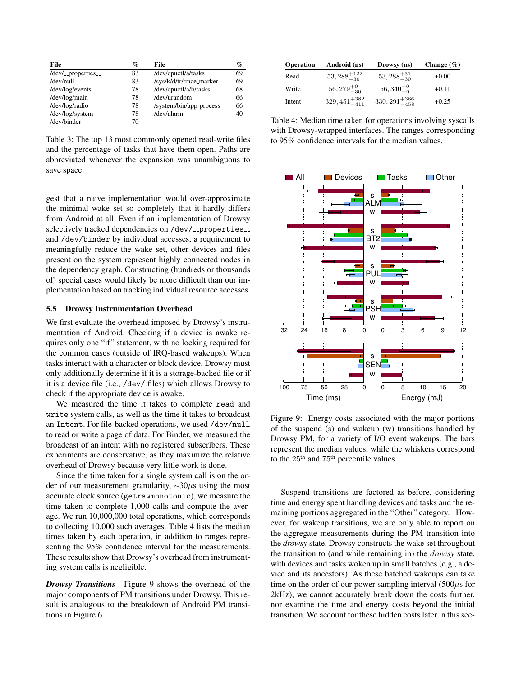| File                | $\%$ | File                     | $\%$ |
|---------------------|------|--------------------------|------|
| /dev/__properties__ | 83   | /dev/cpuctl/a/tasks      | 69   |
| /dev/null           | 83   | /sys/k/d/tr/trace_marker | 69   |
| /dev/log/events     | 78   | /dev/cpuctl/a/b/tasks    | 68   |
| /dev/log/main       | 78   | /dev/urandom             | 66   |
| /dev/log/radio      | 78   | /system/bin/app_process  | 66   |
| /dev/log/system     | 78   | /dev/alarm               | 40   |
| /dev/binder         | 70   |                          |      |

Table 3: The top 13 most commonly opened read-write files and the percentage of tasks that have them open. Paths are abbreviated whenever the expansion was unambiguous to save space.

gest that a naive implementation would over-approximate the minimal wake set so completely that it hardly differs from Android at all. Even if an implementation of Drowsy selectively tracked dependencies on /dev/\_properties\_ and /dev/binder by individual accesses, a requirement to meaningfully reduce the wake set, other devices and files present on the system represent highly connected nodes in the dependency graph. Constructing (hundreds or thousands of) special cases would likely be more difficult than our implementation based on tracking individual resource accesses.

### 5.5 Drowsy Instrumentation Overhead

We first evaluate the overhead imposed by Drowsy's instrumentation of Android. Checking if a device is awake requires only one "if" statement, with no locking required for the common cases (outside of IRQ-based wakeups). When tasks interact with a character or block device, Drowsy must only additionally determine if it is a storage-backed file or if it is a device file (i.e., /dev/ files) which allows Drowsy to check if the appropriate device is awake.

We measured the time it takes to complete read and write system calls, as well as the time it takes to broadcast an Intent. For file-backed operations, we used /dev/null to read or write a page of data. For Binder, we measured the broadcast of an intent with no registered subscribers. These experiments are conservative, as they maximize the relative overhead of Drowsy because very little work is done.

Since the time taken for a single system call is on the order of our measurement granularity, <sup>∼</sup>30µs using the most accurate clock source (getrawmonotonic), we measure the time taken to complete 1,000 calls and compute the average. We run 10,000,000 total operations, which corresponds to collecting 10,000 such averages. Table 4 lists the median times taken by each operation, in addition to ranges representing the 95% confidence interval for the measurements. These results show that Drowsy's overhead from instrumenting system calls is negligible.

*Drowsy Transitions* Figure 9 shows the overhead of the major components of PM transitions under Drowsy. This result is analogous to the breakdown of Android PM transitions in Figure 6.

| <b>Operation</b> | Android (ns)            | Drowsy (ns)              | Change $(\% )$ |
|------------------|-------------------------|--------------------------|----------------|
| Read             | $53,288^{+122}_{-30}$   | $53,288^{+31}_{-30}$     | $+0.00$        |
| Write            | $56,279^{+0}_{-30}$     | $56,340^{+0}_{-0}$       | $+0.11$        |
| Intent           | $329,451_{-411}^{+382}$ | $330, 291_{-458}^{+366}$ | $+0.25$        |

Table 4: Median time taken for operations involving syscalls with Drowsy-wrapped interfaces. The ranges corresponding to 95% confidence intervals for the median values.



Figure 9: Energy costs associated with the major portions of the suspend (s) and wakeup (w) transitions handled by Drowsy PM, for a variety of I/O event wakeups. The bars represent the median values, while the whiskers correspond to the  $25<sup>th</sup>$  and  $75<sup>th</sup>$  percentile values.

Suspend transitions are factored as before, considering time and energy spent handling devices and tasks and the remaining portions aggregated in the "Other" category. However, for wakeup transitions, we are only able to report on the aggregate measurements during the PM transition into the *drowsy* state. Drowsy constructs the wake set throughout the transition to (and while remaining in) the *drowsy* state, with devices and tasks woken up in small batches (e.g., a device and its ancestors). As these batched wakeups can take time on the order of our power sampling interval  $(500\mu s)$  for 2kHz), we cannot accurately break down the costs further, nor examine the time and energy costs beyond the initial transition. We account for these hidden costs later in this sec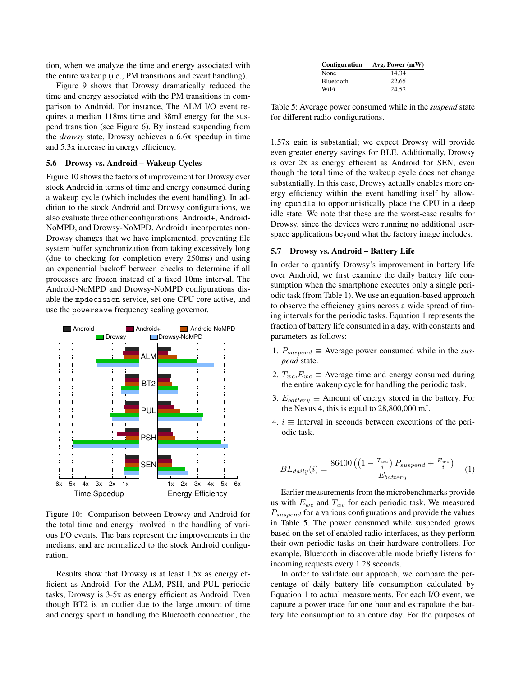tion, when we analyze the time and energy associated with the entire wakeup (i.e., PM transitions and event handling).

Figure 9 shows that Drowsy dramatically reduced the time and energy associated with the PM transitions in comparison to Android. For instance, The ALM I/O event requires a median 118ms time and 38mJ energy for the suspend transition (see Figure 6). By instead suspending from the *drowsy* state, Drowsy achieves a 6.6x speedup in time and 5.3x increase in energy efficiency.

### 5.6 Drowsy vs. Android – Wakeup Cycles

Figure 10 shows the factors of improvement for Drowsy over stock Android in terms of time and energy consumed during a wakeup cycle (which includes the event handling). In addition to the stock Android and Drowsy configurations, we also evaluate three other configurations: Android+, Android-NoMPD, and Drowsy-NoMPD. Android+ incorporates non-Drowsy changes that we have implemented, preventing file system buffer synchronization from taking excessively long (due to checking for completion every 250ms) and using an exponential backoff between checks to determine if all processes are frozen instead of a fixed 10ms interval. The Android-NoMPD and Drowsy-NoMPD configurations disable the mpdecision service, set one CPU core active, and use the powersave frequency scaling governor.



Figure 10: Comparison between Drowsy and Android for the total time and energy involved in the handling of various I/O events. The bars represent the improvements in the medians, and are normalized to the stock Android configuration.

Results show that Drowsy is at least 1.5x as energy efficient as Android. For the ALM, PSH, and PUL periodic tasks, Drowsy is 3-5x as energy efficient as Android. Even though BT2 is an outlier due to the large amount of time and energy spent in handling the Bluetooth connection, the

| <b>Configuration</b> | Avg. Power (mW) |
|----------------------|-----------------|
| None                 | 14.34           |
| <b>Bluetooth</b>     | 22.65           |
| WiFi                 | 24.52           |

Table 5: Average power consumed while in the *suspend* state for different radio configurations.

1.57x gain is substantial; we expect Drowsy will provide even greater energy savings for BLE. Additionally, Drowsy is over 2x as energy efficient as Android for SEN, even though the total time of the wakeup cycle does not change substantially. In this case, Drowsy actually enables more energy efficiency within the event handling itself by allowing cpuidle to opportunistically place the CPU in a deep idle state. We note that these are the worst-case results for Drowsy, since the devices were running no additional userspace applications beyond what the factory image includes.

#### 5.7 Drowsy vs. Android – Battery Life

In order to quantify Drowsy's improvement in battery life over Android, we first examine the daily battery life consumption when the smartphone executes only a single periodic task (from Table 1). We use an equation-based approach to observe the efficiency gains across a wide spread of timing intervals for the periodic tasks. Equation 1 represents the fraction of battery life consumed in a day, with constants and parameters as follows:

- 1. Psuspend ≡ Average power consumed while in the *suspend* state.
- 2.  $T_{wc}E_{wc} \equiv$  Average time and energy consumed during the entire wakeup cycle for handling the periodic task.
- 3.  $E_{battery} \equiv$  Amount of energy stored in the battery. For the Nexus 4, this is equal to 28,800,000 mJ.
- 4.  $i \equiv$  Interval in seconds between executions of the periodic task.

$$
BL_{daily}(i) = \frac{86400\left(\left(1 - \frac{T_{wc}}{i}\right)P_{suspend} + \frac{E_{wc}}{i}\right)}{E_{battery}} \quad (1)
$$

Earlier measurements from the microbenchmarks provide us with  $E_{wc}$  and  $T_{wc}$  for each periodic task. We measured  $P_{suspend}$  for a various configurations and provide the values in Table 5. The power consumed while suspended grows based on the set of enabled radio interfaces, as they perform their own periodic tasks on their hardware controllers. For example, Bluetooth in discoverable mode briefly listens for incoming requests every 1.28 seconds.

In order to validate our approach, we compare the percentage of daily battery life consumption calculated by Equation 1 to actual measurements. For each I/O event, we capture a power trace for one hour and extrapolate the battery life consumption to an entire day. For the purposes of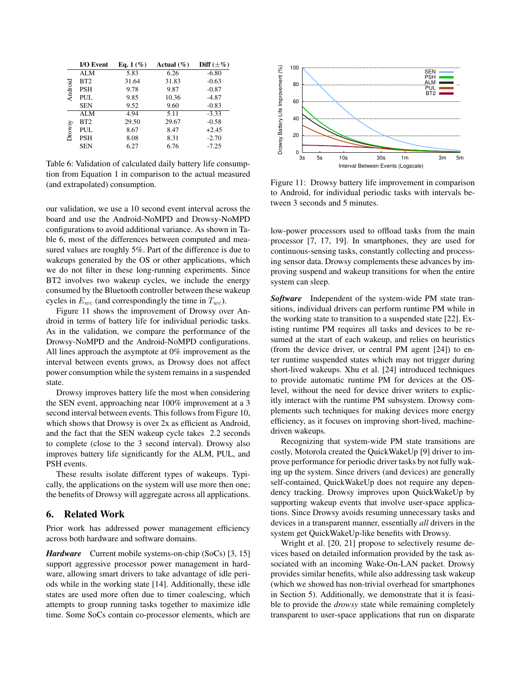|         | <b>I/O</b> Event | Eq. 1 $(\%)$ | Actual $(\% )$ | Diff $(\pm \%)$ |
|---------|------------------|--------------|----------------|-----------------|
| Android | <b>ALM</b>       | 5.83         | 6.26           | $-6.80$         |
|         | BT2              | 31.64        | 31.83          | $-0.63$         |
|         | <b>PSH</b>       | 9.78         | 9.87           | $-0.87$         |
|         | <b>PUL</b>       | 9.85         | 10.36          | $-4.87$         |
|         | <b>SEN</b>       | 9.52         | 9.60           | $-0.83$         |
| Drowsy  | <b>ALM</b>       | 4.94         | 5.11           | $-3.33$         |
|         | BT2              | 29.50        | 29.67          | $-0.58$         |
|         | PUL              | 8.67         | 8.47           | $+2.45$         |
|         | <b>PSH</b>       | 8.08         | 8.31           | $-2.70$         |
|         | <b>SEN</b>       | 6.27         | 6.76           | $-7.25$         |

Table 6: Validation of calculated daily battery life consumption from Equation 1 in comparison to the actual measured (and extrapolated) consumption.

our validation, we use a 10 second event interval across the board and use the Android-NoMPD and Drowsy-NoMPD configurations to avoid additional variance. As shown in Table 6, most of the differences between computed and measured values are roughly 5%. Part of the difference is due to wakeups generated by the OS or other applications, which we do not filter in these long-running experiments. Since BT2 involves two wakeup cycles, we include the energy consumed by the Bluetooth controller between these wakeup cycles in  $E_{wc}$  (and correspondingly the time in  $T_{wc}$ ).

Figure 11 shows the improvement of Drowsy over Android in terms of battery life for individual periodic tasks. As in the validation, we compare the performance of the Drowsy-NoMPD and the Android-NoMPD configurations. All lines approach the asymptote at 0% improvement as the interval between events grows, as Drowsy does not affect power consumption while the system remains in a suspended state.

Drowsy improves battery life the most when considering the SEN event, approaching near 100% improvement at a 3 second interval between events. This follows from Figure 10, which shows that Drowsy is over  $2x$  as efficient as Android, and the fact that the SEN wakeup cycle takes 2.2 seconds to complete (close to the 3 second interval). Drowsy also improves battery life significantly for the ALM, PUL, and PSH events.

These results isolate different types of wakeups. Typically, the applications on the system will use more then one; the benefits of Drowsy will aggregate across all applications.

# 6. Related Work

Prior work has addressed power management efficiency across both hardware and software domains.

*Hardware* Current mobile systems-on-chip (SoCs) [3, 15] support aggressive processor power management in hardware, allowing smart drivers to take advantage of idle periods while in the working state [14]. Additionally, these idle states are used more often due to timer coalescing, which attempts to group running tasks together to maximize idle time. Some SoCs contain co-processor elements, which are



Figure 11: Drowsy battery life improvement in comparison to Android, for individual periodic tasks with intervals between 3 seconds and 5 minutes.

low-power processors used to offload tasks from the main processor [7, 17, 19]. In smartphones, they are used for continuous-sensing tasks, constantly collecting and processing sensor data. Drowsy complements these advances by improving suspend and wakeup transitions for when the entire system can sleep.

*Software* Independent of the system-wide PM state transitions, individual drivers can perform runtime PM while in the working state to transition to a suspended state [22]. Existing runtime PM requires all tasks and devices to be resumed at the start of each wakeup, and relies on heuristics (from the device driver, or central PM agent [24]) to enter runtime suspended states which may not trigger during short-lived wakeups. Xhu et al. [24] introduced techniques to provide automatic runtime PM for devices at the OSlevel, without the need for device driver writers to explicitly interact with the runtime PM subsystem. Drowsy complements such techniques for making devices more energy efficiency, as it focuses on improving short-lived, machinedriven wakeups.

Recognizing that system-wide PM state transitions are costly, Motorola created the QuickWakeUp [9] driver to improve performance for periodic driver tasks by not fully waking up the system. Since drivers (and devices) are generally self-contained, QuickWakeUp does not require any dependency tracking. Drowsy improves upon QuickWakeUp by supporting wakeup events that involve user-space applications. Since Drowsy avoids resuming unnecessary tasks and devices in a transparent manner, essentially *all* drivers in the system get QuickWakeUp-like benefits with Drowsy.

Wright et al. [20, 21] propose to selectively resume devices based on detailed information provided by the task associated with an incoming Wake-On-LAN packet. Drowsy provides similar benefits, while also addressing task wakeup (which we showed has non-trivial overhead for smartphones in Section 5). Additionally, we demonstrate that it is feasible to provide the *drowsy* state while remaining completely transparent to user-space applications that run on disparate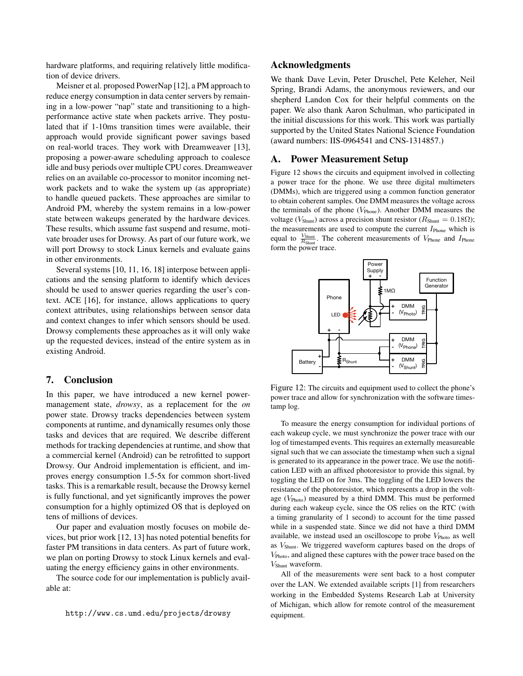hardware platforms, and requiring relatively little modification of device drivers.

Meisner et al. proposed PowerNap [12], a PM approach to reduce energy consumption in data center servers by remaining in a low-power "nap" state and transitioning to a highperformance active state when packets arrive. They postulated that if 1-10ms transition times were available, their approach would provide significant power savings based on real-world traces. They work with Dreamweaver [13], proposing a power-aware scheduling approach to coalesce idle and busy periods over multiple CPU cores. Dreamweaver relies on an available co-processor to monitor incoming network packets and to wake the system up (as appropriate) to handle queued packets. These approaches are similar to Android PM, whereby the system remains in a low-power state between wakeups generated by the hardware devices. These results, which assume fast suspend and resume, motivate broader uses for Drowsy. As part of our future work, we will port Drowsy to stock Linux kernels and evaluate gains in other environments.

Several systems [10, 11, 16, 18] interpose between applications and the sensing platform to identify which devices should be used to answer queries regarding the user's context. ACE [16], for instance, allows applications to query context attributes, using relationships between sensor data and context changes to infer which sensors should be used. Drowsy complements these approaches as it will only wake up the requested devices, instead of the entire system as in existing Android.

# 7. Conclusion

In this paper, we have introduced a new kernel powermanagement state, *drowsy*, as a replacement for the *on* power state. Drowsy tracks dependencies between system components at runtime, and dynamically resumes only those tasks and devices that are required. We describe different methods for tracking dependencies at runtime, and show that a commercial kernel (Android) can be retrofitted to support Drowsy. Our Android implementation is efficient, and improves energy consumption 1.5-5x for common short-lived tasks. This is a remarkable result, because the Drowsy kernel is fully functional, and yet significantly improves the power consumption for a highly optimized OS that is deployed on tens of millions of devices.

Our paper and evaluation mostly focuses on mobile devices, but prior work [12, 13] has noted potential benefits for faster PM transitions in data centers. As part of future work, we plan on porting Drowsy to stock Linux kernels and evaluating the energy efficiency gains in other environments.

The source code for our implementation is publicly available at:

http://www.cs.umd.edu/projects/drowsy

# Acknowledgments

We thank Dave Levin, Peter Druschel, Pete Keleher, Neil Spring, Brandi Adams, the anonymous reviewers, and our shepherd Landon Cox for their helpful comments on the paper. We also thank Aaron Schulman, who participated in the initial discussions for this work. This work was partially supported by the United States National Science Foundation (award numbers: IIS-0964541 and CNS-1314857.)

# A. Power Measurement Setup

Figure 12 shows the circuits and equipment involved in collecting a power trace for the phone. We use three digital multimeters (DMMs), which are triggered using a common function generator to obtain coherent samples. One DMM measures the voltage across the terminals of the phone  $(V_{Phone})$ . Another DMM measures the voltage ( $V_{\text{Shunt}}$ ) across a precision shunt resistor ( $R_{\text{Shunt}} = 0.18\Omega$ ); the measurements are used to compute the current  $I_{\text{Phone}}$  which is equal to  $\frac{V_{\text{Shunt}}}{R_{\text{Shunt}}}$ . The coherent measurements of  $V_{\text{Phone}}$  and  $I_{\text{Phone}}$ form the power trace.



Figure 12: The circuits and equipment used to collect the phone's power trace and allow for synchronization with the software timestamp log.

To measure the energy consumption for individual portions of each wakeup cycle, we must synchronize the power trace with our log of timestamped events. This requires an externally measureable signal such that we can associate the timestamp when such a signal is generated to its appearance in the power trace. We use the notification LED with an affixed photoresistor to provide this signal, by toggling the LED on for 3ms. The toggling of the LED lowers the resistance of the photoresistor, which represents a drop in the voltage  $(V_{\text{Photo}})$  measured by a third DMM. This must be performed during each wakeup cycle, since the OS relies on the RTC (with a timing granularity of 1 second) to account for the time passed while in a suspended state. Since we did not have a third DMM available, we instead used an oscilloscope to probe  $V_{\text{Photo}}$  as well as  $V_{\text{Shunt}}$ . We triggered waveform captures based on the drops of VPhoto, and aligned these captures with the power trace based on the VShunt waveform.

All of the measurements were sent back to a host computer over the LAN. We extended available scripts [1] from researchers working in the Embedded Systems Research Lab at University of Michigan, which allow for remote control of the measurement equipment.